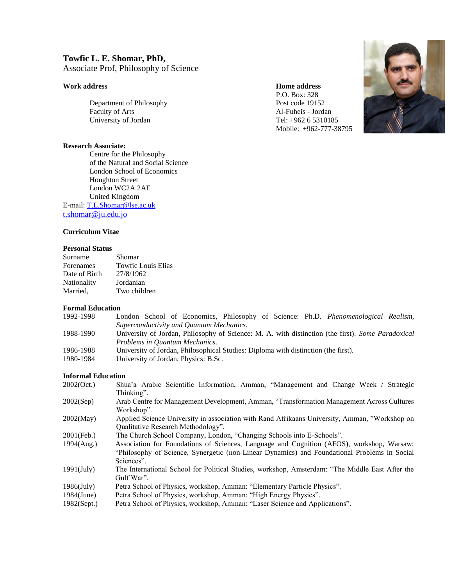# **Towfic L. E. Shomar, PhD,**

Associate Prof, Philosophy of Science

# **Work address Home address**

Department of Philosophy Post code 19152 Faculty of Arts<br>
University of Jordan<br>
Tel: +962 6 5310185 University of Jordan

#### **Research Associate:**

Centre for the Philosophy of the Natural and Social Science London School of Economics Houghton Street London WC2A 2AE United Kingdom E-mail[: T.L.Shomar@lse.ac.uk](mailto:T.L.Shomar@lse.ac.uk) [t.shomar@ju.edu.jo](mailto:t.shomar@ju.edu.jo)

# **Curriculum Vitae**

## **Personal Status**

| Surname       | Shomar                    |
|---------------|---------------------------|
| Forenames     | <b>Towfic Louis Elias</b> |
| Date of Birth | 27/8/1962                 |
| Nationality   | Jordanian                 |
| Married,      | Two children              |

#### **Formal Education**

| London School of Economics, Philosophy of Science: Ph.D. <i>Phenomenological Realism</i> ,        |
|---------------------------------------------------------------------------------------------------|
| Superconductivity and Quantum Mechanics.                                                          |
| University of Jordan, Philosophy of Science: M. A. with distinction (the first). Some Paradoxical |
| Problems in Ouantum Mechanics.                                                                    |
| University of Jordan, Philosophical Studies: Diploma with distinction (the first).                |
| University of Jordan, Physics: B.Sc.                                                              |
|                                                                                                   |

#### **Informal Education**

| 2002(Oct.)    | Shua'a Arabic Scientific Information, Amman, "Management and Change Week / Strategic<br>Thinking".                                                                                                      |
|---------------|---------------------------------------------------------------------------------------------------------------------------------------------------------------------------------------------------------|
| 2002(Sep)     | Arab Centre for Management Development, Amman, "Transformation Management Across Cultures"<br>Workshop".                                                                                                |
| 2002(May)     | Applied Science University in association with Rand Afrikaans University, Amman, "Workshop on<br>Qualitative Research Methodology".                                                                     |
| 2001(Feb.)    | The Church School Company, London, "Changing Schools into E-Schools".                                                                                                                                   |
| 1994(Aug.)    | Association for Foundations of Sciences, Language and Cognition (AFOS), workshop, Warsaw:<br>"Philosophy of Science, Synergetic (non-Linear Dynamics) and Foundational Problems in Social<br>Sciences". |
| $1991$ (July) | The International School for Political Studies, workshop, Amsterdam: "The Middle East After the<br>Gulf War".                                                                                           |
| $1986$ (July) | Petra School of Physics, workshop, Amman: "Elementary Particle Physics".                                                                                                                                |
| 1984(June)    | Petra School of Physics, workshop, Amman: "High Energy Physics".                                                                                                                                        |
| 1982(Sept.)   | Petra School of Physics, workshop, Amman: "Laser Science and Applications".                                                                                                                             |

P.O. Box: 328

Mobile: +962-777-38795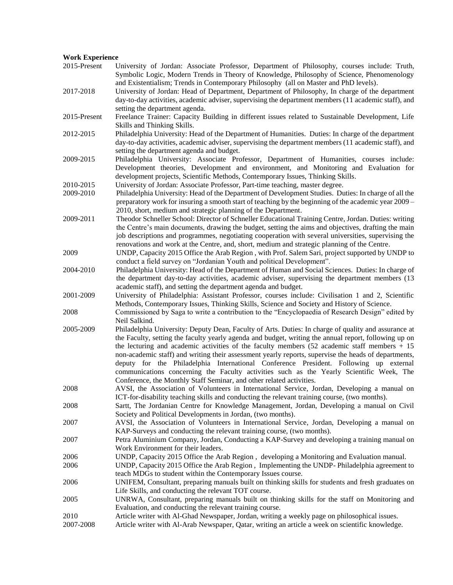#### **Work Experience**

2015-Present University of Jordan: Associate Professor, Department of Philosophy, courses include: Truth, Symbolic Logic, Modern Trends in Theory of Knowledge, Philosophy of Science, Phenomenology and Existentialism; Trends in Contemporary Philosophy (all on Master and PhD levels). 2017-2018 University of Jordan: Head of Department, Department of Philosophy, In charge of the department day-to-day activities, academic adviser, supervising the department members (11 academic staff), and setting the department agenda. 2015-Present Freelance Trainer: Capacity Building in different issues related to Sustainable Development, Life Skills and Thinking Skills. 2012-2015 Philadelphia University: Head of the Department of Humanities. Duties: In charge of the department day-to-day activities, academic adviser, supervising the department members (11 academic staff), and setting the department agenda and budget. 2009-2015 Philadelphia University: Associate Professor, Department of Humanities, courses include: Development theories, Development and environment, and Monitoring and Evaluation for development projects, Scientific Methods, Contemporary Issues, Thinking Skills. 2010-2015 University of Jordan: Associate Professor, Part-time teaching, master degree. 2009-2010 Philadelphia University: Head of the Department of Development Studies. Duties: In charge of all the preparatory work for insuring a smooth start of teaching by the beginning of the academic year 2009 – 2010, short, medium and strategic planning of the Department. 2009-2011 Theodor Schneller School: Director of Schneller Educational Training Centre, Jordan. Duties: writing the Centre's main documents, drawing the budget, setting the aims and objectives, drafting the main job descriptions and programmes, negotiating cooperation with several universities, supervising the renovations and work at the Centre, and, short, medium and strategic planning of the Centre. 2009 UNDP, Capacity 2015 Office the Arab Region , with Prof. Salem Sari, project supported by UNDP to conduct a field survey on "Jordanian Youth and political Development". 2004-2010 Philadelphia University: Head of the Department of Human and Social Sciences. Duties: In charge of the department day-to-day activities, academic adviser, supervising the department members (13 academic staff), and setting the department agenda and budget. 2001-2009 University of Philadelphia: Assistant Professor, courses include: Civilisation 1 and 2, Scientific Methods, Contemporary Issues, Thinking Skills, Science and Society and History of Science. 2008 Commissioned by Saga to write a contribution to the "Encyclopaedia of Research Design" edited by Neil Salkind. 2005-2009 Philadelphia University: Deputy Dean, Faculty of Arts. Duties: In charge of quality and assurance at the Faculty, setting the faculty yearly agenda and budget, writing the annual report, following up on the lecturing and academic activities of the faculty members  $(52 \text{ academic staff members} + 15 \text{$ non-academic staff) and writing their assessment yearly reports, supervise the heads of departments, deputy for the Philadelphia International Conference President. Following up external communications concerning the Faculty activities such as the Yearly Scientific Week, The Conference, the Monthly Staff Seminar, and other related activities. 2008 AVSI, the Association of Volunteers in International Service, Jordan, Developing a manual on ICT-for-disability teaching skills and conducting the relevant training course, (two months). 2008 Sartt, The Jordanian Centre for Knowledge Management, Jordan, Developing a manual on Civil Society and Political Developments in Jordan, (two months). 2007 AVSI, the Association of Volunteers in International Service, Jordan, Developing a manual on KAP-Surveys and conducting the relevant training course, (two months). 2007 Petra Aluminium Company, Jordan, Conducting a KAP-Survey and developing a training manual on Work Environment for their leaders. 2006 UNDP, Capacity 2015 Office the Arab Region , developing a Monitoring and Evaluation manual. 2006 UNDP, Capacity 2015 Office the Arab Region , Implementing the UNDP- Philadelphia agreement to teach MDGs to student within the Contemporary Issues course. 2006 UNIFEM, Consultant, preparing manuals built on thinking skills for students and fresh graduates on Life Skills, and conducting the relevant TOT course. 2005 UNRWA, Consultant, preparing manuals built on thinking skills for the staff on Monitoring and Evaluation, and conducting the relevant training course. 2010 Article writer with Al-Ghad Newspaper, Jordan, writing a weekly page on philosophical issues. 2007-2008 Article writer with Al-Arab Newspaper, Qatar, writing an article a week on scientific knowledge.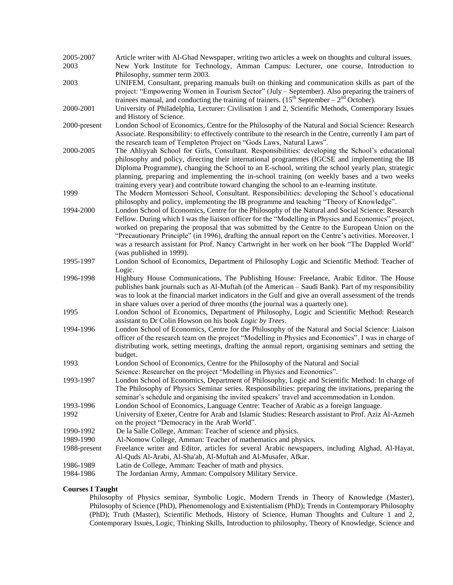| 2005-2007    | Article writer with Al-Ghad Newspaper, writing two articles a week on thoughts and cultural issues.                                                                                                                                                                                                                                                                                                                                                                                                                                                   |  |  |
|--------------|-------------------------------------------------------------------------------------------------------------------------------------------------------------------------------------------------------------------------------------------------------------------------------------------------------------------------------------------------------------------------------------------------------------------------------------------------------------------------------------------------------------------------------------------------------|--|--|
| 2003         | New York Institute for Technology, Amman Campus: Lecturer, one course, Introduction to<br>Philosophy, summer term 2003.                                                                                                                                                                                                                                                                                                                                                                                                                               |  |  |
| 2003         | UNIFEM, Consultant, preparing manuals built on thinking and communication skills as part of the<br>project: "Empowering Women in Tourism Sector" (July – September). Also preparing the trainers of<br>trainees manual, and conducting the training of trainers. $(15^{th}$ September – $2^{nd}$ October).                                                                                                                                                                                                                                            |  |  |
| 2000-2001    | University of Philadelphia, Lecturer: Civilisation 1 and 2, Scientific Methods, Contemporary Issues<br>and History of Science.                                                                                                                                                                                                                                                                                                                                                                                                                        |  |  |
| 2000-present | London School of Economics, Centre for the Philosophy of the Natural and Social Science: Research<br>Associate. Responsibility: to effectively contribute to the research in the Centre, currently I am part of<br>the research team of Templeton Project on "Gods Laws, Natural Laws".                                                                                                                                                                                                                                                               |  |  |
| 2000-2005    | The Ahliyyah School for Girls, Consultant. Responsibilities: developing the School's educational<br>philosophy and policy, directing their international programmes (IGCSE and implementing the IB<br>Diploma Programme), changing the School to an E-school, writing the school yearly plan, strategic<br>planning, preparing and implementing the in-school training (on weekly bases and a two weeks<br>training every year) and contribute toward changing the school to an e-learning institute.                                                 |  |  |
| 1999         | The Modern Montessori School, Consultant. Responsibilities: developing the School's educational<br>philosophy and policy, implementing the IB programme and teaching "Theory of Knowledge".                                                                                                                                                                                                                                                                                                                                                           |  |  |
| 1994-2000    | London School of Economics, Centre for the Philosophy of the Natural and Social Science: Research<br>Fellow. During which I was the liaison officer for the "Modelling in Physics and Economics" project,<br>worked on preparing the proposal that was submitted by the Centre to the European Union on the<br>"Precautionary Principle" (in 1996), drafting the annual report on the Centre's activities. Moreover, I<br>was a research assistant for Prof. Nancy Cartwright in her work on her book "The Dappled World"<br>(was published in 1999). |  |  |
| 1995-1997    | London School of Economics, Department of Philosophy Logic and Scientific Method: Teacher of<br>Logic.                                                                                                                                                                                                                                                                                                                                                                                                                                                |  |  |
| 1996-1998    | Highbury House Communications, The Publishing House: Freelance, Arabic Editor. The House<br>publishes bank journals such as Al-Muftah (of the American - Saudi Bank). Part of my responsibility<br>was to look at the financial market indicators in the Gulf and give an overall assessment of the trends<br>in share values over a period of three months (the journal was a quarterly one).                                                                                                                                                        |  |  |
| 1995         | London School of Economics, Department of Philosophy, Logic and Scientific Method: Research<br>assistant to Dr Colin Howson on his book Logic by Trees.                                                                                                                                                                                                                                                                                                                                                                                               |  |  |
| 1994-1996    | London School of Economics, Centre for the Philosophy of the Natural and Social Science: Liaison<br>officer of the research team on the project "Modelling in Physics and Economics". I was in charge of<br>distributing work, setting meetings, drafting the annual report, organising seminars and setting the<br>budget.                                                                                                                                                                                                                           |  |  |
| 1993         | London School of Economics, Centre for the Philosophy of the Natural and Social<br>Science: Researcher on the project "Modelling in Physics and Economics".                                                                                                                                                                                                                                                                                                                                                                                           |  |  |
| 1993-1997    | London School of Economics, Department of Philosophy, Logic and Scientific Method: In charge of<br>The Philosophy of Physics Seminar series. Responsibilities: preparing the invitations, preparing the<br>seminar's schedule and organising the invited speakers' travel and accommodation in London.                                                                                                                                                                                                                                                |  |  |
| 1993-1996    | London School of Economics, Language Centre: Teacher of Arabic as a foreign language.                                                                                                                                                                                                                                                                                                                                                                                                                                                                 |  |  |
| 1992         | University of Exeter, Centre for Arab and Islamic Studies: Research assistant to Prof. Aziz Al-Azmeh<br>on the project "Democracy in the Arab World".                                                                                                                                                                                                                                                                                                                                                                                                 |  |  |
| 1990-1992    | De la Salle College, Amman: Teacher of science and physics.                                                                                                                                                                                                                                                                                                                                                                                                                                                                                           |  |  |
| 1989-1990    | Al-Nomow College, Amman: Teacher of mathematics and physics.                                                                                                                                                                                                                                                                                                                                                                                                                                                                                          |  |  |
| 1988-present | Freelance writer and Editor, articles for several Arabic newspapers, including Alghad, Al-Hayat,<br>Al-Quds Al-Arabi, Al-Sha'ab, Al-Muftah and Al-Musafer, Afkar.                                                                                                                                                                                                                                                                                                                                                                                     |  |  |
| 1986-1989    | Latin de College, Amman: Teacher of math and physics.                                                                                                                                                                                                                                                                                                                                                                                                                                                                                                 |  |  |
| 1984-1986    | The Jordanian Army, Amman: Compulsory Military Service.                                                                                                                                                                                                                                                                                                                                                                                                                                                                                               |  |  |

## **Courses I Taught**

Philosophy of Physics seminar, Symbolic Logic, Modern Trends in Theory of Knowledge (Master), Philosophy of Science (PhD), Phenomenology and Existentialism (PhD); Trends in Contemporary Philosophy (PhD); Truth (Master), Scientific Methods, History of Science, Human Thoughts and Culture 1 and 2, Contemporary Issues, Logic, Thinking Skills, Introduction to philosophy, Theory of Knowledge, Science and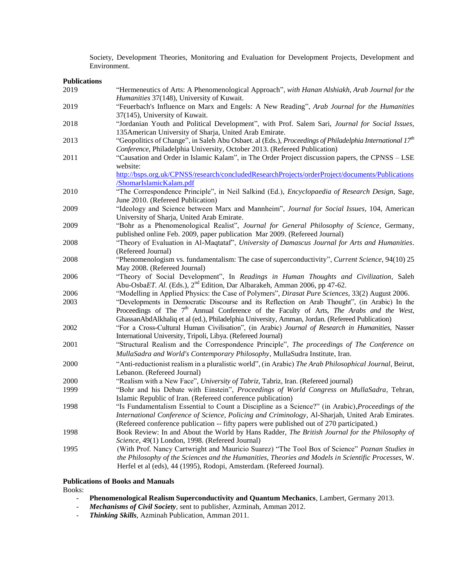Society, Development Theories, Monitoring and Evaluation for Development Projects, Development and Environment.

#### **Publications**

| 2019 | "Hermeneutics of Arts: A Phenomenological Approach", with Hanan Alshiakh, Arab Journal for the<br>Humanities 37(148), University of Kuwait.                                                                                                                                                             |
|------|---------------------------------------------------------------------------------------------------------------------------------------------------------------------------------------------------------------------------------------------------------------------------------------------------------|
| 2019 | "Feuerbach's Influence on Marx and Engels: A New Reading", Arab Journal for the Humanities                                                                                                                                                                                                              |
| 2018 | 37(145), University of Kuwait.<br>"Jordanian Youth and Political Development", with Prof. Salem Sari, Journal for Social Issues,<br>135 American University of Sharja, United Arab Emirate.                                                                                                             |
| 2013 | "Geopolitics of Change", in Saleh Abu Osbaet. al (Eds.), Proceedings of Philadelphia International 17 <sup>th</sup><br>Conference, Philadelphia University, October 2013. (Refereed Publication)                                                                                                        |
| 2011 | "Causation and Order in Islamic Kalam", in The Order Project discussion papers, the CPNSS - LSE<br>website:                                                                                                                                                                                             |
|      | http://bsps.org.uk/CPNSS/research/concludedResearchProjects/orderProject/documents/Publications<br>/ShomarIslamicKalam.pdf                                                                                                                                                                              |
| 2010 | "The Correspondence Principle", in Neil Salkind (Ed.), <i>Encyclopaedia of Research Design</i> , Sage,<br>June 2010. (Refereed Publication)                                                                                                                                                             |
| 2009 | "Ideology and Science between Marx and Mannheim", Journal for Social Issues, 104, American<br>University of Sharja, United Arab Emirate.                                                                                                                                                                |
| 2009 | "Bohr as a Phenomenological Realist", Journal for General Philosophy of Science, Germany,<br>published online Feb. 2009, paper publication Mar 2009. (Refereed Journal)                                                                                                                                 |
| 2008 | "Theory of Evaluation in Al-Maqtataf", University of Damascus Journal for Arts and Humanities.<br>(Refereed Journal)                                                                                                                                                                                    |
| 2008 | "Phenomenologism vs. fundamentalism: The case of superconductivity", Current Science, 94(10) 25<br>May 2008. (Refereed Journal)                                                                                                                                                                         |
| 2006 | "Theory of Social Development", In Readings in Human Thoughts and Civilization, Saleh<br>Abu-OsbaET. Al. (Eds.), 2 <sup>nd</sup> Edition, Dar Albarakeh, Amman 2006, pp 47-62.                                                                                                                          |
| 2006 | "Modelling in Applied Physics: the Case of Polymers", <i>Dirasat Pure Sciences</i> , 33(2) August 2006.                                                                                                                                                                                                 |
| 2003 | "Developments in Democratic Discourse and its Reflection on Arab Thought", (in Arabic) In the<br>Proceedings of The 7 <sup>th</sup> Annual Conference of the Faculty of Arts, The Arabs and the West,<br>GhassanAbdAlkhaliq et al (ed.), Philadelphia University, Amman, Jordan. (Refereed Publication) |
| 2002 | "For a Cross-Cultural Human Civilisation", (in Arabic) Journal of Research in Humanities, Nasser<br>International University, Tripoli, Libya. (Refereed Journal)                                                                                                                                        |
| 2001 | "Structural Realism and the Correspondence Principle", The proceedings of The Conference on<br>MullaSadra and World's Contemporary Philosophy, MullaSudra Institute, Iran.                                                                                                                              |
| 2000 | "Anti-reductionist realism in a pluralistic world", (in Arabic) The Arab Philosophical Journal, Beirut,<br>Lebanon. (Refereed Journal)                                                                                                                                                                  |
| 2000 | "Realism with a New Face", University of Tabriz, Tabriz, Iran. (Refereed journal)                                                                                                                                                                                                                       |
| 1999 | "Bohr and his Debate with Einstein", Proceedings of World Congress on MullaSadra, Tehran,                                                                                                                                                                                                               |
|      | Islamic Republic of Iran. (Refereed conference publication)                                                                                                                                                                                                                                             |
| 1998 | "Is Fundamentalism Essential to Count a Discipline as a Science?" (in Arabic), Proceedings of the<br>International Conference of Science, Policing and Criminology, Al-Sharjah, United Arab Emirates.                                                                                                   |
|      | (Refereed conference publication -- fifty papers were published out of 270 participated.)                                                                                                                                                                                                               |
| 1998 | Book Review: In and About the World by Hans Radder, The British Journal for the Philosophy of                                                                                                                                                                                                           |
|      | Science, 49(1) London, 1998. (Refereed Journal)                                                                                                                                                                                                                                                         |
| 1995 | (With Prof. Nancy Cartwright and Mauricio Suarez) "The Tool Box of Science" Poznan Studies in<br>the Philosophy of the Sciences and the Humanities, Theories and Models in Scientific Processes, W.<br>Herfel et al (eds), 44 (1995), Rodopi, Amsterdam. (Refereed Journal).                            |

#### **Publications of Books and Manuals**

Books:

- **Phenomenological Realism Superconductivity and Quantum Mechanics**, Lambert, Germany 2013.
- *Mechanisms of Civil Society*, sent to publisher, Azminah, Amman 2012.
- *Thinking Skills*, Azminah Publication, Amman 2011.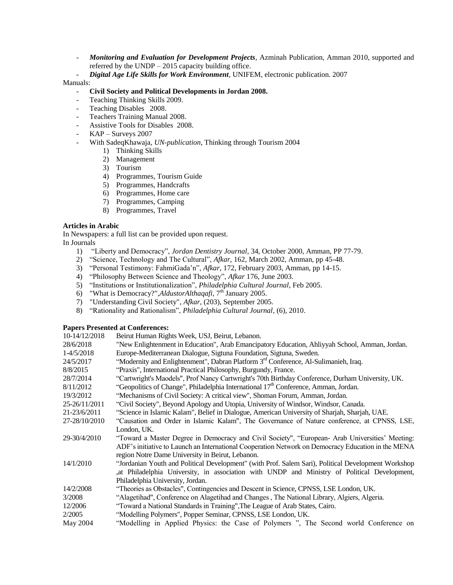- *Monitoring and Evaluation for Development Projects*, Azminah Publication, Amman 2010, supported and referred by the UNDP – 2015 capacity building office.
- *Digital Age Life Skills for Work Environment*, UNIFEM, electronic publication. 2007

#### Manuals:

### - **Civil Society and Political Developments in Jordan 2008.**

- Teaching Thinking Skills 2009.
- Teaching Disables 2008.
- Teachers Training Manual 2008.
- Assistive Tools for Disables 2008.
- KAP Surveys 2007
- With SadeqKhawaja, *UN-publication*, Thinking through Tourism 2004
	- 1) Thinking Skills
	- 2) Management
	- 3) Tourism
	- 4) Programmes, Tourism Guide
	- 5) Programmes, Handcrafts
	- 6) Programmes, Home care
	- 7) Programmes, Camping
	- 8) Programmes, Travel

#### **Articles in Arabic**

In Newspapers: a full list can be provided upon request. In Journals

- 1) "Liberty and Democracy", *Jordan Dentistry Journal*, 34, October 2000, Amman, PP 77-79.
- 2) "Science, Technology and The Cultural", *Afkar*, 162, March 2002, Amman, pp 45-48.
- 3) "Personal Testimony: FahmiGada"n", *Afkar*, 172, February 2003, Amman, pp 14-15.
- 4) "Philosophy Between Science and Theology", *Afkar* 176, June 2003.
- 5) "Institutions or Institutionalization", *Philadelphia Cultural Journal*, Feb 2005.
- 6) "What is Democracy?",*AldustorAlthaqafi*, 7<sup>th</sup> January 2005.
- 7) "Understanding Civil Society", *Afkar*, (203), September 2005.
- 8) "Rationality and Rationalism", *Philadelphia Cultural Journal*, (6), 2010.

#### **Papers Presented at Conferences:**

| 10-14/12/2018 | Beirut Human Rights Week, USJ, Beirut, Lebanon.                                                     |
|---------------|-----------------------------------------------------------------------------------------------------|
| 28/6/2018     | "New Enlightenment in Education", Arab Emancipatory Education, Ahliyyah School, Amman, Jordan.      |
| 1-4/5/2018    | Europe-Mediterranean Dialogue, Sigtuna Foundation, Sigtuna, Sweden.                                 |
| 24/5/2017     | "Modernity and Enlightenment", Dabran Platform 3 <sup>rd</sup> Conference, Al-Sulimanieh, Iraq.     |
| 8/8/2015      | "Praxis", International Practical Philosophy, Burgundy, France.                                     |
| 28/7/2014     | "Cartwright's Maodels", Prof Nancy Cartwright's 70th Birthday Conference, Durham University, UK.    |
| 8/11/2012     | "Geopolitics of Change", Philadelphia International 17 <sup>th</sup> Conference, Amman, Jordan.     |
| 19/3/2012     | "Mechanisms of Civil Society: A critical view", Shoman Forum, Amman, Jordan.                        |
| 25-26/11/2011 | "Civil Society", Beyond Apology and Utopia, University of Windsor, Windsor, Canada.                 |
| 21-23/6/2011  | "Science in Islamic Kalam", Belief in Dialogue, American University of Sharjah, Sharjah, UAE.       |
| 27-28/10/2010 | "Causation and Order in Islamic Kalam", The Governance of Nature conference, at CPNSS, LSE,         |
|               | London, UK.                                                                                         |
| 29-30/4/2010  | "Toward a Master Degree in Democracy and Civil Society", "European-Arab Universities' Meeting:      |
|               | ADF's initiative to Launch an International Cooperation Network on Democracy Education in the MENA  |
|               | region Notre Dame University in Beirut, Lebanon.                                                    |
| 14/1/2010     | "Jordanian Youth and Political Development" (with Prof. Salem Sari), Political Development Workshop |
|               | , at Philadelphia University, in association with UNDP and Ministry of Political Development,       |
|               | Philadelphia University, Jordan.                                                                    |
| 14/2/2008     | "Theories as Obstacles", Contingencies and Descent in Science, CPNSS, LSE London, UK.               |
| 3/2008        | "Alagetihad", Conference on Alagetihad and Changes, The National Library, Algiers, Algeria.         |
| 12/2006       | "Toward a National Standards in Training", The League of Arab States, Cairo.                        |
| 2/2005        | "Modelling Polymers", Popper Seminar, CPNSS, LSE London, UK.                                        |
| May 2004      | "Modelling in Applied Physics: the Case of Polymers ", The Second world Conference on               |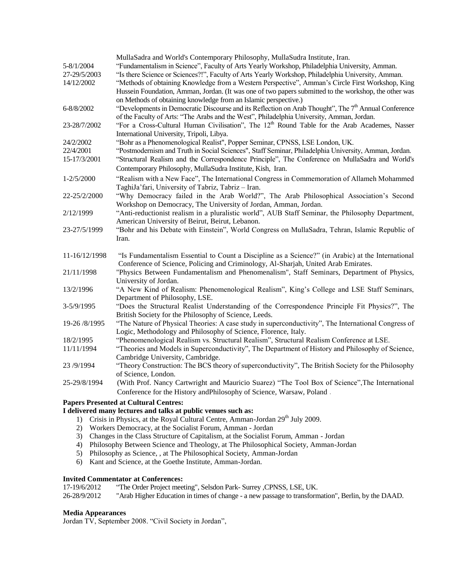|                | MullaSadra and World's Contemporary Philosophy, MullaSudra Institute, Iran.                                      |
|----------------|------------------------------------------------------------------------------------------------------------------|
| 5-8/1/2004     | "Fundamentalism in Science", Faculty of Arts Yearly Workshop, Philadelphia University, Amman.                    |
| 27-29/5/2003   | "Is there Science or Sciences?!", Faculty of Arts Yearly Workshop, Philadelphia University, Amman.               |
| 14/12/2002     | "Methods of obtaining Knowledge from a Western Perspective", Amman's Circle First Workshop, King                 |
|                | Hussein Foundation, Amman, Jordan. (It was one of two papers submitted to the workshop, the other was            |
|                | on Methods of obtaining knowledge from an Islamic perspective.)                                                  |
| 6-8/8/2002     | "Developments in Democratic Discourse and its Reflection on Arab Thought", The 7 <sup>th</sup> Annual Conference |
|                | of the Faculty of Arts: "The Arabs and the West", Philadelphia University, Amman, Jordan.                        |
| 23-28/7/2002   | "For a Cross-Cultural Human Civilisation", The 12 <sup>th</sup> Round Table for the Arab Academes, Nasser        |
|                | International University, Tripoli, Libya.                                                                        |
| 24/2/2002      | "Bohr as a Phenomenological Realist", Popper Seminar, CPNSS, LSE London, UK.                                     |
| 22/4/2001      | "Postmodernism and Truth in Social Sciences", Staff Seminar, Philadelphia University, Amman, Jordan.             |
| 15-17/3/2001   | "Structural Realism and the Correspondence Principle", The Conference on MullaSadra and World's                  |
|                | Contemporary Philosophy, MullaSudra Institute, Kish, Iran.                                                       |
| $1 - 2/5/2000$ | "Realism with a New Face", The International Congress in Commemoration of Allameh Mohammed                       |
|                | TaghiJa'fari, University of Tabriz, Tabriz - Iran.                                                               |
| 22-25/2/2000   | "Why Democracy failed in the Arab World?", The Arab Philosophical Association's Second                           |
|                | Workshop on Democracy, The University of Jordan, Amman, Jordan.                                                  |
| 2/12/1999      | "Anti-reductionist realism in a pluralistic world", AUB Staff Seminar, the Philosophy Department,                |
|                | American University of Beirut, Beirut, Lebanon.                                                                  |
| 23-27/5/1999   | "Bohr and his Debate with Einstein", World Congress on MullaSadra, Tehran, Islamic Republic of                   |
|                | Iran.                                                                                                            |
|                |                                                                                                                  |
| 11-16/12/1998  | "Is Fundamentalism Essential to Count a Discipline as a Science?" (in Arabic) at the International               |
|                | Conference of Science, Policing and Criminology, Al-Sharjah, United Arab Emirates.                               |
| 21/11/1998     | "Physics Between Fundamentalism and Phenomenalism", Staff Seminars, Department of Physics,                       |
|                | University of Jordan.                                                                                            |
| 13/2/1996      | "A New Kind of Realism: Phenomenological Realism", King's College and LSE Staff Seminars,                        |
|                | Department of Philosophy, LSE.                                                                                   |
| 3-5/9/1995     | "Does the Structural Realist Understanding of the Correspondence Principle Fit Physics?", The                    |
|                | British Society for the Philosophy of Science, Leeds.                                                            |
| 19-26 /8/1995  | "The Nature of Physical Theories: A case study in superconductivity", The International Congress of              |
|                | Logic, Methodology and Philosophy of Science, Florence, Italy.                                                   |
| 18/2/1995      | "Phenomenological Realism vs. Structural Realism", Structural Realism Conference at LSE.                         |
| 11/11/1994     | "Theories and Models in Superconductivity", The Department of History and Philosophy of Science,                 |
|                | Cambridge University, Cambridge.                                                                                 |
| 23/9/1994      | "Theory Construction: The BCS theory of superconductivity", The British Society for the Philosophy               |
|                | of Science, London.                                                                                              |
| 25-29/8/1994   | (With Prof. Nancy Cartwright and Mauricio Suarez) "The Tool Box of Science", The International                   |
|                | Conference for the History and Philosophy of Science, Warsaw, Poland.                                            |
|                |                                                                                                                  |
|                | <b>Papers Presented at Cultural Centres:</b>                                                                     |

# **I delivered many lectures and talks at public venues such as:**

- 1) Crisis in Physics, at the Royal Cultural Centre, Amman-Jordan 29<sup>th</sup> July 2009.
- 2) Workers Democracy, at the Socialist Forum, Amman Jordan
- 3) Changes in the Class Structure of Capitalism, at the Socialist Forum, Amman Jordan
- 4) Philosophy Between Science and Theology, at The Philosophical Society, Amman-Jordan
- 5) Philosophy as Science, , at The Philosophical Society, Amman-Jordan
- 6) Kant and Science, at the Goethe Institute, Amman-Jordan.

#### **Invited Commentator at Conferences:**

17-19/6/2012 "The Order Project meeting", Selsdon Park- Surrey ,CPNSS, LSE, UK.

26-28/9/2012 "Arab Higher Education in times of change - a new passage to transformation", Berlin, by the DAAD.

#### **Media Appearances**

Jordan TV, September 2008. "Civil Society in Jordan",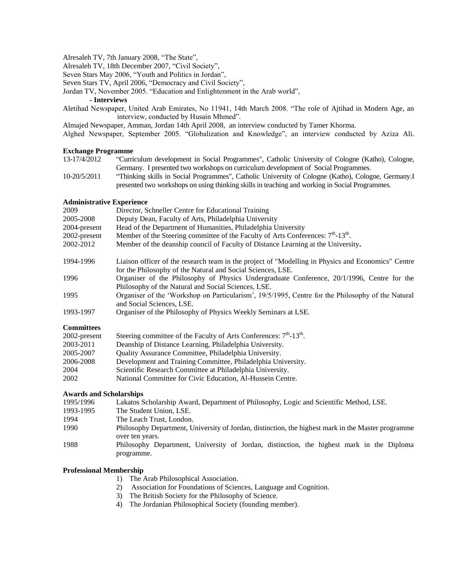Alresaleh TV, 7th January 2008, "The State",

Alresaleh TV, 18th December 2007, "Civil Society",

Seven Stars May 2006, "Youth and Politics in Jordan",

Seven Stars TV, April 2006, "Democracy and Civil Society",

Jordan TV, November 2005. "Education and Enlightenment in the Arab world",

#### **- Interviews**

Aletihad Newspaper, United Arab Emirates, No 11941, 14th March 2008. "The role of Ajtihad in Modern Age, an interview, conducted by Husain Mhmed".

Almajed Newspaper, Amman, Jordan 14th April 2008, an interview conducted by Tamer Khorma.

Alghed Newspaper, September 2005. "Globalization and Knowledge", an interview conducted by Aziza Ali.

#### **Exchange Programme**

- 13-17/4/2012 "Curriculum development in Social Programmes", Catholic University of Cologne (Katho), Cologne, Germany. I presented two workshops on curriculum development of Social Programmes.
- 10-20/5/2011 "Thinking skills in Social Programmes", Catholic University of Cologne (Katho), Cologne, Germany.I presented two workshops on using thinking skills in teaching and working in Social Programmes.

#### **Administrative Experience**

| 2009              | Director, Schneller Centre for Educational Training                                                                                                               |
|-------------------|-------------------------------------------------------------------------------------------------------------------------------------------------------------------|
| 2005-2008         | Deputy Dean, Faculty of Arts, Philadelphia University                                                                                                             |
| 2004-present      | Head of the Department of Humanities, Philadelphia University                                                                                                     |
| 2002-present      | Member of the Steering committee of the Faculty of Arts Conferences: 7 <sup>th</sup> -13 <sup>th</sup> .                                                          |
| 2002-2012         | Member of the deanship council of Faculty of Distance Learning at the University.                                                                                 |
| 1994-1996         | Liaison officer of the research team in the project of "Modelling in Physics and Economics" Centre<br>for the Philosophy of the Natural and Social Sciences, LSE. |
| 1996              | Organiser of the Philosophy of Physics Undergraduate Conference, 20/1/1996, Centre for the<br>Philosophy of the Natural and Social Sciences, LSE.                 |
| 1995              | Organiser of the 'Workshop on Particularism', 19/5/1995, Centre for the Philosophy of the Natural<br>and Social Sciences, LSE.                                    |
| 1993-1997         | Organiser of the Philosophy of Physics Weekly Seminars at LSE.                                                                                                    |
| <b>Committees</b> |                                                                                                                                                                   |
| 2002-present      | Steering committee of the Faculty of Arts Conferences: $7th$ -13 <sup>th</sup> .                                                                                  |
| 2003-2011         | Deanship of Distance Learning, Philadelphia University.                                                                                                           |
| 2005-2007         | Quality Assurance Committee, Philadelphia University.                                                                                                             |

2006-2008 Development and Training Committee, Philadelphia University.

- 2004 Scientific Research Committee at Philadelphia University.
- 2002 National Committee for Civic Education, Al-Hussein Centre.

## **Awards and Scholarships**

| Lakatos Scholarship Award, Department of Philosophy, Logic and Scientific Method, LSE.                  |  |  |
|---------------------------------------------------------------------------------------------------------|--|--|
| The Student Union, LSE.                                                                                 |  |  |
| The Leach Trust, London.                                                                                |  |  |
| Philosophy Department, University of Jordan, distinction, the highest mark in the Master programme      |  |  |
| over ten years.                                                                                         |  |  |
| Philosophy Department, University of Jordan, distinction, the highest mark in the Diploma<br>programme. |  |  |
|                                                                                                         |  |  |

#### **Professional Membership**

- 1) The Arab Philosophical Association.
- 2) Association for Foundations of Sciences, Language and Cognition.
- 3) The British Society for the Philosophy of Science.
- 4) The Jordanian Philosophical Society (founding member).